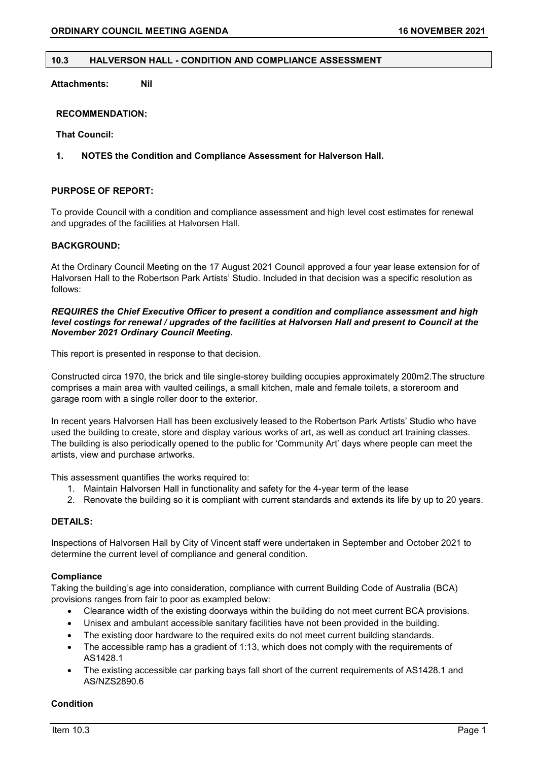#### **10.3 HALVERSON HALL - CONDITION AND COMPLIANCE ASSESSMENT**

**Attachments: Nil**

### **RECOMMENDATION:**

**That Council:**

## **1. NOTES the Condition and Compliance Assessment for Halverson Hall.**

# **PURPOSE OF REPORT:**

To provide Council with a condition and compliance assessment and high level cost estimates for renewal and upgrades of the facilities at Halvorsen Hall.

### **BACKGROUND:**

At the Ordinary Council Meeting on the 17 August 2021 Council approved a four year lease extension for of Halvorsen Hall to the Robertson Park Artists' Studio. Included in that decision was a specific resolution as follows:

#### *REQUIRES the Chief Executive Officer to present a condition and compliance assessment and high level costings for renewal / upgrades of the facilities at Halvorsen Hall and present to Council at the November 2021 Ordinary Council Meeting***.**

This report is presented in response to that decision.

Constructed circa 1970, the brick and tile single-storey building occupies approximately 200m2.The structure comprises a main area with vaulted ceilings, a small kitchen, male and female toilets, a storeroom and garage room with a single roller door to the exterior.

In recent years Halvorsen Hall has been exclusively leased to the Robertson Park Artists' Studio who have used the building to create, store and display various works of art, as well as conduct art training classes. The building is also periodically opened to the public for 'Community Art' days where people can meet the artists, view and purchase artworks.

This assessment quantifies the works required to:

- 1. Maintain Halvorsen Hall in functionality and safety for the 4-year term of the lease
- 2. Renovate the building so it is compliant with current standards and extends its life by up to 20 years.

# **DETAILS:**

Inspections of Halvorsen Hall by City of Vincent staff were undertaken in September and October 2021 to determine the current level of compliance and general condition.

#### **Compliance**

Taking the building's age into consideration, compliance with current Building Code of Australia (BCA) provisions ranges from fair to poor as exampled below:

- Clearance width of the existing doorways within the building do not meet current BCA provisions.
- Unisex and ambulant accessible sanitary facilities have not been provided in the building.
- The existing door hardware to the required exits do not meet current building standards.
- The accessible ramp has a gradient of 1:13, which does not comply with the requirements of AS1428.1
- The existing accessible car parking bays fall short of the current requirements of AS1428.1 and AS/NZS2890.6

#### **Condition**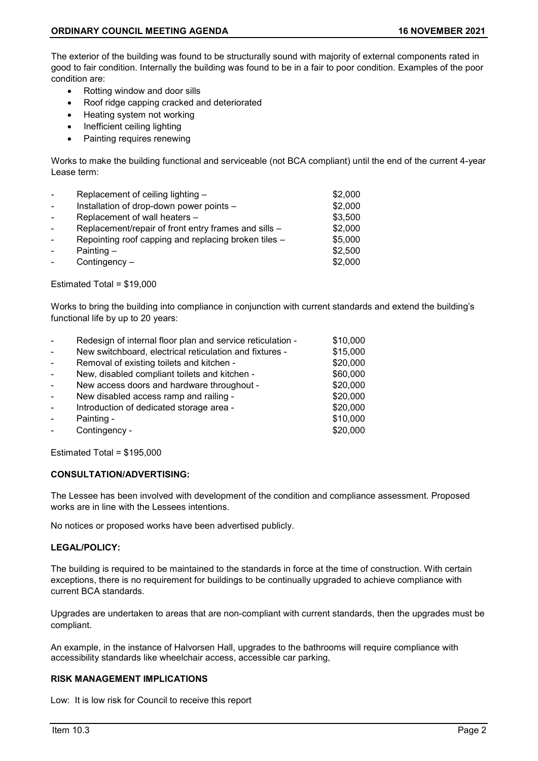The exterior of the building was found to be structurally sound with majority of external components rated in good to fair condition. Internally the building was found to be in a fair to poor condition. Examples of the poor condition are:

- Rotting window and door sills
- Roof ridge capping cracked and deteriorated
- Heating system not working
- Inefficient ceiling lighting
- Painting requires renewing

Works to make the building functional and serviceable (not BCA compliant) until the end of the current 4-year Lease term:

| $\sim$         | Replacement of ceiling lighting -                    | \$2,000 |
|----------------|------------------------------------------------------|---------|
| $\sim$         | Installation of drop-down power points -             | \$2,000 |
| $\overline{a}$ | Replacement of wall heaters -                        | \$3,500 |
| $\overline{a}$ | Replacement/repair of front entry frames and sills - | \$2,000 |
|                | Repointing roof capping and replacing broken tiles - | \$5,000 |
|                | Painting $-$                                         | \$2,500 |
|                | Contingency $-$                                      | \$2,000 |

#### Estimated Total = \$19,000

Works to bring the building into compliance in conjunction with current standards and extend the building's functional life by up to 20 years:

| $\sim$ | Redesign of internal floor plan and service reticulation - | \$10,000 |
|--------|------------------------------------------------------------|----------|
| $\sim$ | New switchboard, electrical reticulation and fixtures -    | \$15,000 |
| $\sim$ | Removal of existing toilets and kitchen -                  | \$20,000 |
|        | New, disabled compliant toilets and kitchen -              | \$60,000 |
|        | New access doors and hardware throughout -                 | \$20,000 |
| $\sim$ | New disabled access ramp and railing -                     | \$20,000 |
| $\sim$ | Introduction of dedicated storage area -                   | \$20,000 |
|        | Painting -                                                 | \$10,000 |
|        | Contingency -                                              | \$20,000 |

Estimated Total = \$195,000

#### **CONSULTATION/ADVERTISING:**

The Lessee has been involved with development of the condition and compliance assessment. Proposed works are in line with the Lessees intentions.

No notices or proposed works have been advertised publicly.

#### **LEGAL/POLICY:**

The building is required to be maintained to the standards in force at the time of construction. With certain exceptions, there is no requirement for buildings to be continually upgraded to achieve compliance with current BCA standards.

Upgrades are undertaken to areas that are non-compliant with current standards, then the upgrades must be compliant.

An example, in the instance of Halvorsen Hall, upgrades to the bathrooms will require compliance with accessibility standards like wheelchair access, accessible car parking,

## **RISK MANAGEMENT IMPLICATIONS**

Low: It is low risk for Council to receive this report